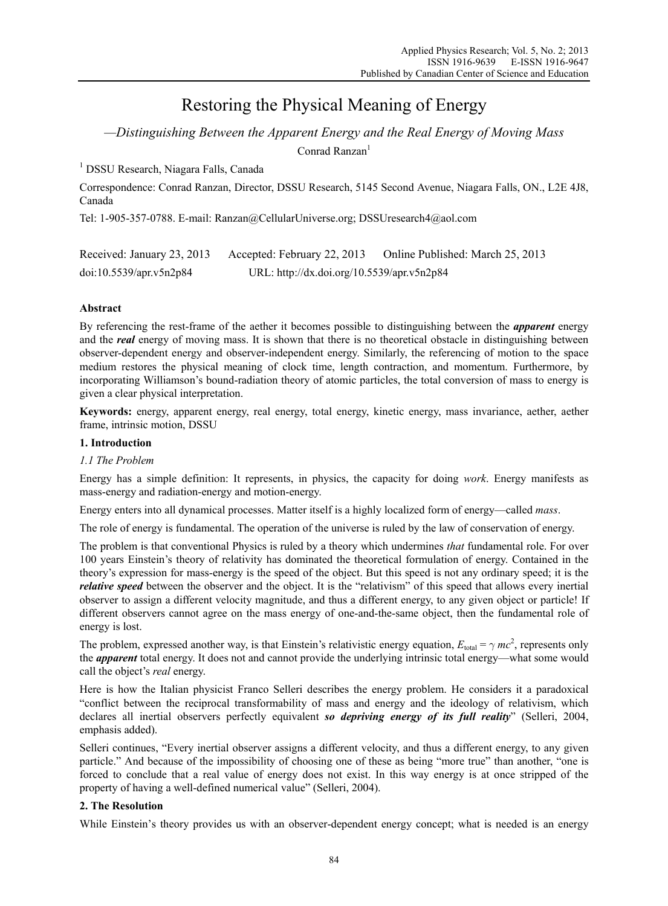# Restoring the Physical Meaning of Energy

*—Distinguishing Between the Apparent Energy and the Real Energy of Moving Mass* Conrad Ranzan<sup>1</sup>

<sup>1</sup> DSSU Research, Niagara Falls, Canada

Correspondence: Conrad Ranzan, Director, DSSU Research, 5145 Second Avenue, Niagara Falls, ON., L2E 4J8, Canada

Tel: 1-905-357-0788. E-mail: Ranzan@CellularUniverse.org; DSSUresearch4@aol.com

| Received: January 23, 2013 | Accepted: February 22, 2013                | Online Published: March 25, 2013 |
|----------------------------|--------------------------------------------|----------------------------------|
| doi:10.5539/apr.v5n2p84    | URL: http://dx.doi.org/10.5539/apr.v5n2p84 |                                  |

## **Abstract**

By referencing the rest-frame of the aether it becomes possible to distinguishing between the *apparent* energy and the **real** energy of moving mass. It is shown that there is no theoretical obstacle in distinguishing between observer-dependent energy and observer-independent energy. Similarly, the referencing of motion to the space medium restores the physical meaning of clock time, length contraction, and momentum. Furthermore, by incorporating Williamson's bound-radiation theory of atomic particles, the total conversion of mass to energy is given a clear physical interpretation.

**Keywords:** energy, apparent energy, real energy, total energy, kinetic energy, mass invariance, aether, aether frame, intrinsic motion, DSSU

## **1. Introduction**

## *1.1 The Problem*

Energy has a simple definition: It represents, in physics, the capacity for doing *work*. Energy manifests as mass-energy and radiation-energy and motion-energy.

Energy enters into all dynamical processes. Matter itself is a highly localized form of energy—called *mass*.

The role of energy is fundamental. The operation of the universe is ruled by the law of conservation of energy.

The problem is that conventional Physics is ruled by a theory which undermines *that* fundamental role. For over 100 years Einstein's theory of relativity has dominated the theoretical formulation of energy. Contained in the theory's expression for mass-energy is the speed of the object. But this speed is not any ordinary speed; it is the *relative speed* between the observer and the object. It is the "relativism" of this speed that allows every inertial observer to assign a different velocity magnitude, and thus a different energy, to any given object or particle! If different observers cannot agree on the mass energy of one-and-the-same object, then the fundamental role of energy is lost.

The problem, expressed another way, is that Einstein's relativistic energy equation,  $E_{total} = \gamma mc^2$ , represents only the *apparent* total energy. It does not and cannot provide the underlying intrinsic total energy—what some would call the object's *real* energy.

Here is how the Italian physicist Franco Selleri describes the energy problem. He considers it a paradoxical "conflict between the reciprocal transformability of mass and energy and the ideology of relativism, which declares all inertial observers perfectly equivalent *so depriving energy of its full reality*" (Selleri, 2004, emphasis added).

Selleri continues, "Every inertial observer assigns a different velocity, and thus a different energy, to any given particle." And because of the impossibility of choosing one of these as being "more true" than another, "one is forced to conclude that a real value of energy does not exist. In this way energy is at once stripped of the property of having a well-defined numerical value" (Selleri, 2004).

## **2. The Resolution**

While Einstein's theory provides us with an observer-dependent energy concept; what is needed is an energy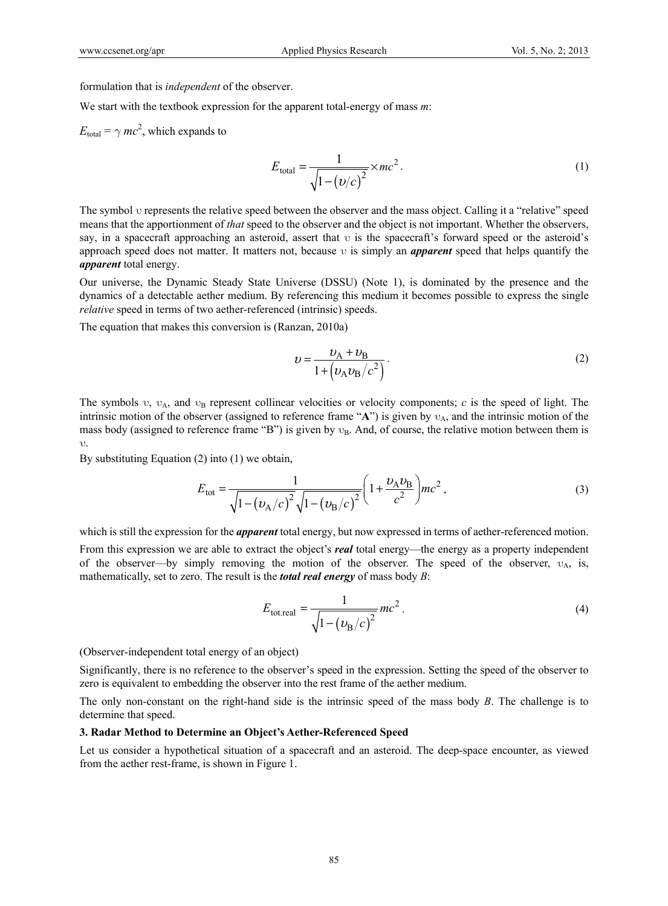formulation that is *independent* of the observer.

We start with the textbook expression for the apparent total-energy of mass *m*:

$$
E_{\text{total}} = \gamma mc^2
$$
, which expands to

$$
E_{\text{total}} = \frac{1}{\sqrt{1 - (v/c)^2}} \times mc^2.
$$
 (1)

The symbol u represents the relative speed between the observer and the mass object. Calling it a "relative" speed means that the apportionment of *that* speed to the observer and the object is not important. Whether the observers, say, in a spacecraft approaching an asteroid, assert that  $\upsilon$  is the spacecraft's forward speed or the asteroid's approach speed does not matter. It matters not, because u is simply an *apparent* speed that helps quantify the *apparent* total energy.

Our universe, the Dynamic Steady State Universe (DSSU) (Note 1), is dominated by the presence and the dynamics of a detectable aether medium. By referencing this medium it becomes possible to express the single *relative* speed in terms of two aether-referenced (intrinsic) speeds.

The equation that makes this conversion is (Ranzan, 2010a)

$$
v = \frac{v_{\rm A} + v_{\rm B}}{1 + \left(v_{\rm A}v_{\rm B}/c^2\right)}.\tag{2}
$$

The symbols  $v$ ,  $v_A$ , and  $v_B$  represent collinear velocities or velocity components; *c* is the speed of light. The intrinsic motion of the observer (assigned to reference frame " $\mathbf{A}$ ") is given by  $v_A$ , and the intrinsic motion of the mass body (assigned to reference frame "B") is given by  $v_B$ . And, of course, the relative motion between them is  $\mathbf{v}$ 

By substituting Equation (2) into (1) we obtain,

$$
E_{\text{tot}} = \frac{1}{\sqrt{1 - \left(\frac{v_{\text{A}}}{c}\right)^2} \sqrt{1 - \left(\frac{v_{\text{B}}}{c}\right)^2}} \left(1 + \frac{v_{\text{A}}v_{\text{B}}}{c^2}\right)mc^2\,,\tag{3}
$$

which is still the expression for the *apparent* total energy, but now expressed in terms of aether-referenced motion. From this expression we are able to extract the object's *real* total energy—the energy as a property independent of the observer—by simply removing the motion of the observer. The speed of the observer,  $v_A$ , is, mathematically, set to zero. The result is the *total real energy* of mass body *B*:

$$
E_{\text{tot.}real} = \frac{1}{\sqrt{1 - (v_{\text{B}}/c)^2}} mc^2.
$$
 (4)

(Observer-independent total energy of an object)

Significantly, there is no reference to the observer's speed in the expression. Setting the speed of the observer to zero is equivalent to embedding the observer into the rest frame of the aether medium.

The only non-constant on the right-hand side is the intrinsic speed of the mass body *B*. The challenge is to determine that speed.

#### **3. Radar Method to Determine an Object's Aether-Referenced Speed**

Let us consider a hypothetical situation of a spacecraft and an asteroid. The deep-space encounter, as viewed from the aether rest-frame, is shown in Figure 1.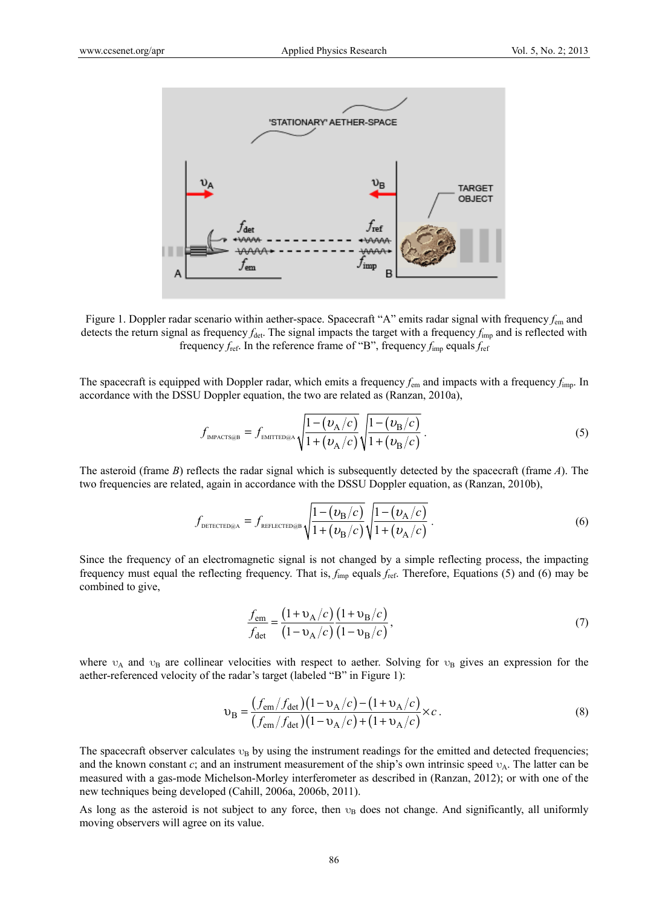

Figure 1. Doppler radar scenario within aether-space. Spacecraft "A" emits radar signal with frequency  $f_{em}$  and detects the return signal as frequency  $f_{\text{det}}$ . The signal impacts the target with a frequency  $f_{\text{imp}}$  and is reflected with frequency  $f_{\text{ref}}$ . In the reference frame of "B", frequency  $f_{\text{imp}}$  equals  $f_{\text{ref}}$ 

The spacecraft is equipped with Doppler radar, which emits a frequency *f*em and impacts with a frequency *f*imp. In accordance with the DSSU Doppler equation, the two are related as (Ranzan, 2010a),

$$
f_{\text{MPACTS@B}} = f_{\text{EMTTIED@A}} \sqrt{\frac{1 - (v_{\text{A}}/c)}{1 + (v_{\text{A}}/c)}} \sqrt{\frac{1 - (v_{\text{B}}/c)}{1 + (v_{\text{B}}/c)}}.
$$
(5)

The asteroid (frame *B*) reflects the radar signal which is subsequently detected by the spacecraft (frame *A*). The two frequencies are related, again in accordance with the DSSU Doppler equation, as (Ranzan, 2010b),

$$
f_{\text{deflectre} \phi_{\text{A}}} = f_{\text{reflectre} \phi_{\text{B}}} \sqrt{\frac{1 - (\upsilon_{\text{B}}/c)}{1 + (\upsilon_{\text{B}}/c)}} \sqrt{\frac{1 - (\upsilon_{\text{A}}/c)}{1 + (\upsilon_{\text{A}}/c)}}.
$$
(6)

Since the frequency of an electromagnetic signal is not changed by a simple reflecting process, the impacting frequency must equal the reflecting frequency. That is, *f*imp equals *f*ref. Therefore, Equations (5) and (6) may be combined to give,

$$
\frac{f_{\rm em}}{f_{\rm det}} = \frac{(1 + v_{\rm A}/c)}{(1 - v_{\rm A}/c)} \frac{(1 + v_{\rm B}/c)}{(1 - v_{\rm B}/c)},
$$
\n(7)

where  $v_A$  and  $v_B$  are collinear velocities with respect to aether. Solving for  $v_B$  gives an expression for the aether-referenced velocity of the radar's target (labeled "B" in Figure 1):

$$
\upsilon_{\rm B} = \frac{(f_{\rm em}/f_{\rm det}) (1 - \upsilon_{\rm A}/c) - (1 + \upsilon_{\rm A}/c)}{(f_{\rm em}/f_{\rm det}) (1 - \upsilon_{\rm A}/c) + (1 + \upsilon_{\rm A}/c)} \times c.
$$
 (8)

The spacecraft observer calculates  $v<sub>B</sub>$  by using the instrument readings for the emitted and detected frequencies; and the known constant  $c$ ; and an instrument measurement of the ship's own intrinsic speed  $v_A$ . The latter can be measured with a gas-mode Michelson-Morley interferometer as described in (Ranzan, 2012); or with one of the new techniques being developed (Cahill, 2006a, 2006b, 2011).

As long as the asteroid is not subject to any force, then  $v_B$  does not change. And significantly, all uniformly moving observers will agree on its value.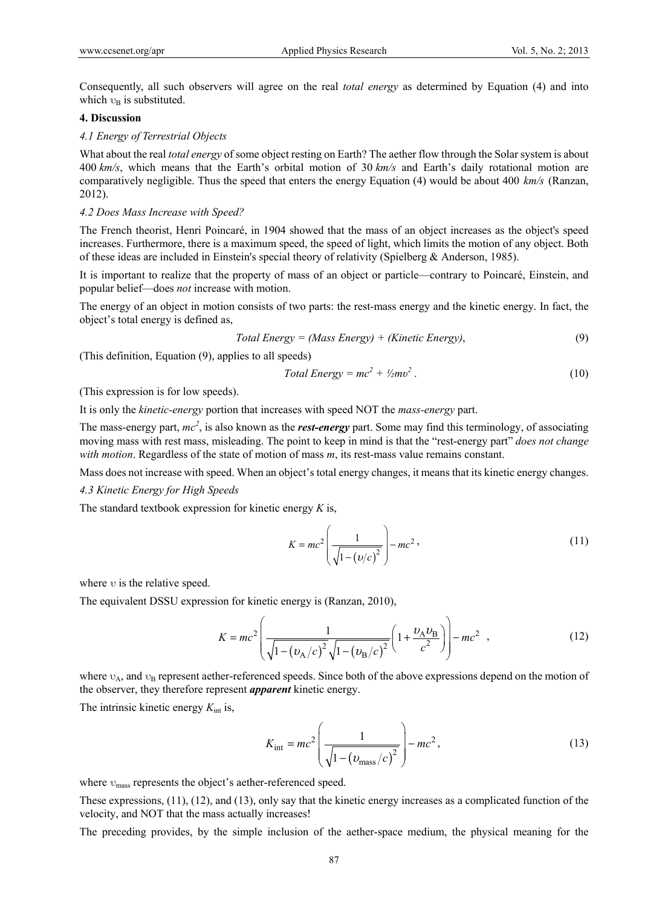Consequently, all such observers will agree on the real *total energy* as determined by Equation (4) and into which  $v_B$  is substituted.

## **4. Discussion**

#### *4.1 Energy of Terrestrial Objects*

What about the real *total energy* of some object resting on Earth? The aether flow through the Solar system is about 400 *km/s*, which means that the Earth's orbital motion of 30 *km/s* and Earth's daily rotational motion are comparatively negligible. Thus the speed that enters the energy Equation (4) would be about 400 *km/s* (Ranzan, 2012).

#### *4.2 Does Mass Increase with Speed?*

The French theorist, Henri Poincaré, in 1904 showed that the mass of an object increases as the object's speed increases. Furthermore, there is a maximum speed, the speed of light, which limits the motion of any object. Both of these ideas are included in Einstein's special theory of relativity (Spielberg & Anderson, 1985).

It is important to realize that the property of mass of an object or particle—contrary to Poincaré, Einstein, and popular belief—does *not* increase with motion.

The energy of an object in motion consists of two parts: the rest-mass energy and the kinetic energy. In fact, the object's total energy is defined as,

$$
Total Energy = (Mass Energy) + (Kinetic Energy), \tag{9}
$$

(This definition, Equation (9), applies to all speeds)

$$
Total Energy = mc2 + 1/2mv2
$$
 (10)

(This expression is for low speeds).

It is only the *kinetic-energy* portion that increases with speed NOT the *mass-energy* part.

The mass-energy part,  $mc^2$ , is also known as the *rest-energy* part. Some may find this terminology, of associating moving mass with rest mass, misleading. The point to keep in mind is that the "rest-energy part" *does not change with motion*. Regardless of the state of motion of mass *m*, its rest-mass value remains constant.

Mass does not increase with speed. When an object's total energy changes, it means that its kinetic energy changes.

#### *4.3 Kinetic Energy for High Speeds*

The standard textbook expression for kinetic energy *K* is,

$$
K = mc^2 \left( \frac{1}{\sqrt{1 - (v/c)^2}} \right) - mc^2,
$$
\n(11)

where  $\nu$  is the relative speed.

The equivalent DSSU expression for kinetic energy is (Ranzan, 2010),

$$
K = mc^2 \left( \frac{1}{\sqrt{1 - \left( v_A/c \right)^2} \sqrt{1 - \left( v_B/c \right)^2}} \left( 1 + \frac{v_A v_B}{c^2} \right) \right) - mc^2 \quad , \tag{12}
$$

where  $v_A$ , and  $v_B$  represent aether-referenced speeds. Since both of the above expressions depend on the motion of the observer, they therefore represent *apparent* kinetic energy.

The intrinsic kinetic energy  $K_{int}$  is,

$$
K_{\text{int}} = mc^2 \left( \frac{1}{\sqrt{1 - (v_{\text{mass}}/c)^2}} \right) - mc^2,
$$
 (13)

where  $v_{\text{mass}}$  represents the object's aether-referenced speed.

These expressions, (11), (12), and (13), only say that the kinetic energy increases as a complicated function of the velocity, and NOT that the mass actually increases!

The preceding provides, by the simple inclusion of the aether-space medium, the physical meaning for the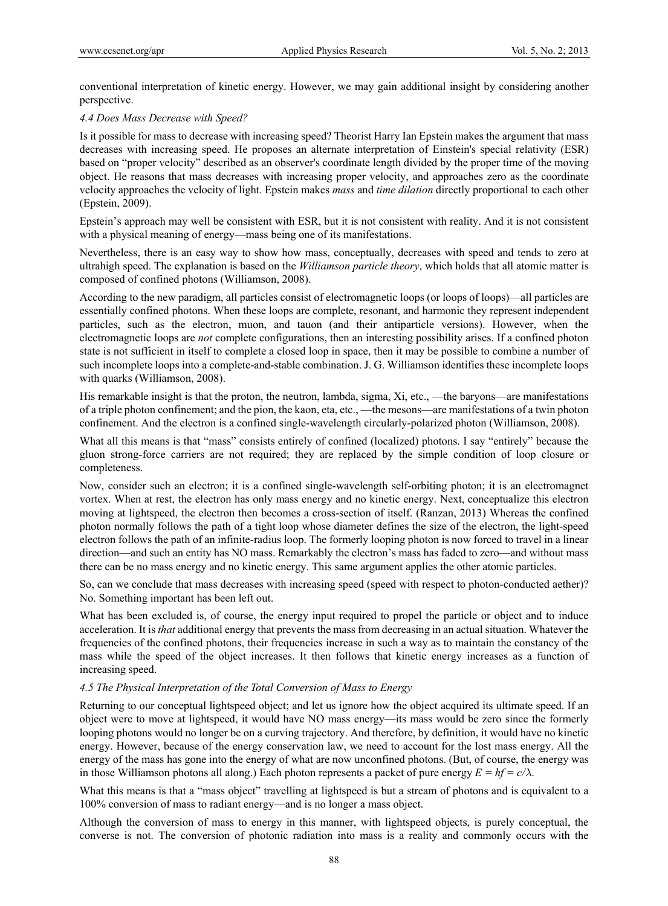conventional interpretation of kinetic energy. However, we may gain additional insight by considering another perspective.

## *4.4 Does Mass Decrease with Speed?*

Is it possible for mass to decrease with increasing speed? Theorist Harry Ian Epstein makes the argument that mass decreases with increasing speed. He proposes an alternate interpretation of Einstein's special relativity (ESR) based on "proper velocity" described as an observer's coordinate length divided by the proper time of the moving object. He reasons that mass decreases with increasing proper velocity, and approaches zero as the coordinate velocity approaches the velocity of light. Epstein makes *mass* and *time dilation* directly proportional to each other (Epstein, 2009).

Epstein's approach may well be consistent with ESR, but it is not consistent with reality. And it is not consistent with a physical meaning of energy—mass being one of its manifestations.

Nevertheless, there is an easy way to show how mass, conceptually, decreases with speed and tends to zero at ultrahigh speed. The explanation is based on the *Williamson particle theory*, which holds that all atomic matter is composed of confined photons (Williamson, 2008).

According to the new paradigm, all particles consist of electromagnetic loops (or loops of loops)—all particles are essentially confined photons. When these loops are complete, resonant, and harmonic they represent independent particles, such as the electron, muon, and tauon (and their antiparticle versions). However, when the electromagnetic loops are *not* complete configurations, then an interesting possibility arises. If a confined photon state is not sufficient in itself to complete a closed loop in space, then it may be possible to combine a number of such incomplete loops into a complete-and-stable combination. J. G. Williamson identifies these incomplete loops with quarks (Williamson, 2008).

His remarkable insight is that the proton, the neutron, lambda, sigma, Xi, etc., —the baryons—are manifestations of a triple photon confinement; and the pion, the kaon, eta, etc., —the mesons—are manifestations of a twin photon confinement. And the electron is a confined single-wavelength circularly-polarized photon (Williamson, 2008).

What all this means is that "mass" consists entirely of confined (localized) photons. I say "entirely" because the gluon strong-force carriers are not required; they are replaced by the simple condition of loop closure or completeness.

Now, consider such an electron; it is a confined single-wavelength self-orbiting photon; it is an electromagnet vortex. When at rest, the electron has only mass energy and no kinetic energy. Next, conceptualize this electron moving at lightspeed, the electron then becomes a cross-section of itself. (Ranzan, 2013) Whereas the confined photon normally follows the path of a tight loop whose diameter defines the size of the electron, the light-speed electron follows the path of an infinite-radius loop. The formerly looping photon is now forced to travel in a linear direction—and such an entity has NO mass. Remarkably the electron's mass has faded to zero—and without mass there can be no mass energy and no kinetic energy. This same argument applies the other atomic particles.

So, can we conclude that mass decreases with increasing speed (speed with respect to photon-conducted aether)? No. Something important has been left out.

What has been excluded is, of course, the energy input required to propel the particle or object and to induce acceleration. It is *that* additional energy that prevents the mass from decreasing in an actual situation. Whatever the frequencies of the confined photons, their frequencies increase in such a way as to maintain the constancy of the mass while the speed of the object increases. It then follows that kinetic energy increases as a function of increasing speed.

## *4.5 The Physical Interpretation of the Total Conversion of Mass to Energy*

Returning to our conceptual lightspeed object; and let us ignore how the object acquired its ultimate speed. If an object were to move at lightspeed, it would have NO mass energy—its mass would be zero since the formerly looping photons would no longer be on a curving trajectory. And therefore, by definition, it would have no kinetic energy. However, because of the energy conservation law, we need to account for the lost mass energy. All the energy of the mass has gone into the energy of what are now unconfined photons. (But, of course, the energy was in those Williamson photons all along.) Each photon represents a packet of pure energy  $E = hf = c/\lambda$ .

What this means is that a "mass object" travelling at lightspeed is but a stream of photons and is equivalent to a 100% conversion of mass to radiant energy—and is no longer a mass object.

Although the conversion of mass to energy in this manner, with lightspeed objects, is purely conceptual, the converse is not. The conversion of photonic radiation into mass is a reality and commonly occurs with the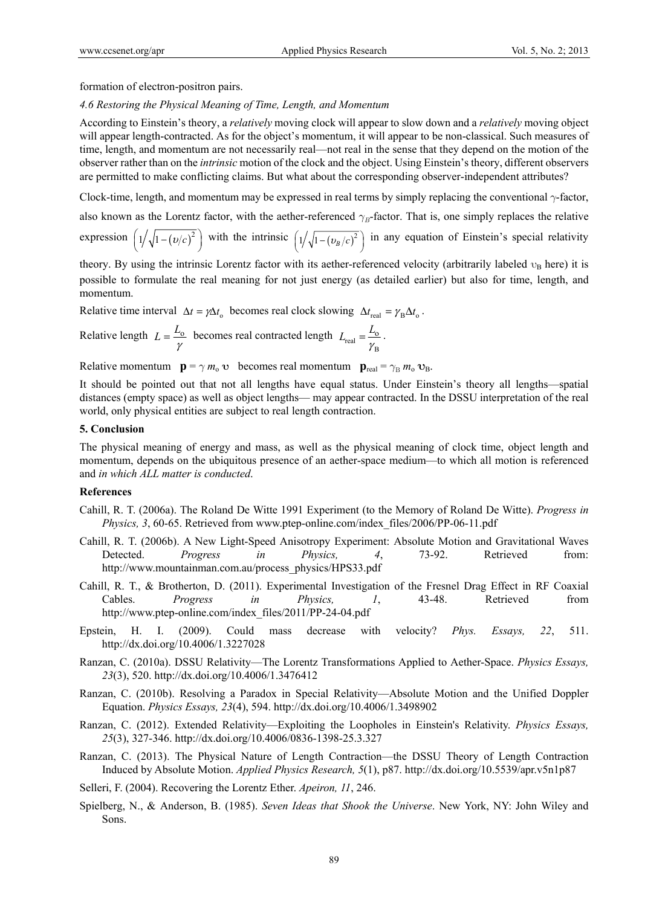formation of electron-positron pairs.

#### *4.6 Restoring the Physical Meaning of Time, Length, and Momentum*

According to Einstein's theory, a *relatively* moving clock will appear to slow down and a *relatively* moving object will appear length-contracted. As for the object's momentum, it will appear to be non-classical. Such measures of time, length, and momentum are not necessarily real—not real in the sense that they depend on the motion of the observer rather than on the *intrinsic* motion of the clock and the object. Using Einstein's theory, different observers are permitted to make conflicting claims. But what about the corresponding observer-independent attributes?

Clock-time, length, and momentum may be expressed in real terms by simply replacing the conventional  $\gamma$ -factor,

also known as the Lorentz factor, with the aether-referenced  $\gamma_B$ -factor. That is, one simply replaces the relative

expression  $\left( \frac{1}{\sqrt{1 - (v/c)^2}} \right)$  with the intrinsic  $\left( \frac{1}{\sqrt{1 - (v_B/c)^2}} \right)$  in any equation of Einstein's special relativity

theory. By using the intrinsic Lorentz factor with its aether-referenced velocity (arbitrarily labeled  $v<sub>B</sub>$  here) it is possible to formulate the real meaning for not just energy (as detailed earlier) but also for time, length, and momentum.

Relative time interval  $\Delta t = \gamma \Delta t_0$  becomes real clock slowing  $\Delta t_{\text{real}} = \gamma_{\text{B}} \Delta t_0$ .

Relative length 
$$
L = \frac{L_o}{\gamma}
$$
 becomes real contracted length  $L_{\text{real}} = \frac{L_o}{\gamma_B}$ .

Relative momentum  $\mathbf{p} = \gamma m_0 \mathbf{v}$  becomes real momentum  $\mathbf{p}_{\text{real}} = \gamma_B m_0 \mathbf{v}_B$ .

It should be pointed out that not all lengths have equal status. Under Einstein's theory all lengths—spatial distances (empty space) as well as object lengths— may appear contracted. In the DSSU interpretation of the real world, only physical entities are subject to real length contraction.

#### **5. Conclusion**

The physical meaning of energy and mass, as well as the physical meaning of clock time, object length and momentum, depends on the ubiquitous presence of an aether-space medium—to which all motion is referenced and *in which ALL matter is conducted*.

## **References**

- Cahill, R. T. (2006a). The Roland De Witte 1991 Experiment (to the Memory of Roland De Witte). *Progress in Physics, 3*, 60-65. Retrieved from www.ptep-online.com/index\_files/2006/PP-06-11.pdf
- Cahill, R. T. (2006b). A New Light-Speed Anisotropy Experiment: Absolute Motion and Gravitational Waves Detected. *Progress in Physics, 4*, 73-92. Retrieved from: http://www.mountainman.com.au/process\_physics/HPS33.pdf
- Cahill, R. T., & Brotherton, D. (2011). Experimental Investigation of the Fresnel Drag Effect in RF Coaxial Cables. *Progress in Physics, 1*, 43-48. Retrieved from http://www.ptep-online.com/index\_files/2011/PP-24-04.pdf
- Epstein, H. I. (2009). Could mass decrease with velocity? *Phys. Essays, 22*, 511. http://dx.doi.org/10.4006/1.3227028
- Ranzan, C. (2010a). DSSU Relativity—The Lorentz Transformations Applied to Aether-Space. *Physics Essays, 23*(3), 520. http://dx.doi.org/10.4006/1.3476412
- Ranzan, C. (2010b). Resolving a Paradox in Special Relativity—Absolute Motion and the Unified Doppler Equation. *Physics Essays, 23*(4), 594. http://dx.doi.org/10.4006/1.3498902
- Ranzan, C. (2012). Extended Relativity—Exploiting the Loopholes in Einstein's Relativity. *Physics Essays, 25*(3), 327-346. http://dx.doi.org/10.4006/0836-1398-25.3.327
- Ranzan, C. (2013). The Physical Nature of Length Contraction—the DSSU Theory of Length Contraction Induced by Absolute Motion. *Applied Physics Research, 5*(1), p87. http://dx.doi.org/10.5539/apr.v5n1p87
- Selleri, F. (2004). Recovering the Lorentz Ether. *Apeiron, 11*, 246.
- Spielberg, N., & Anderson, B. (1985). *Seven Ideas that Shook the Universe*. New York, NY: John Wiley and Sons.